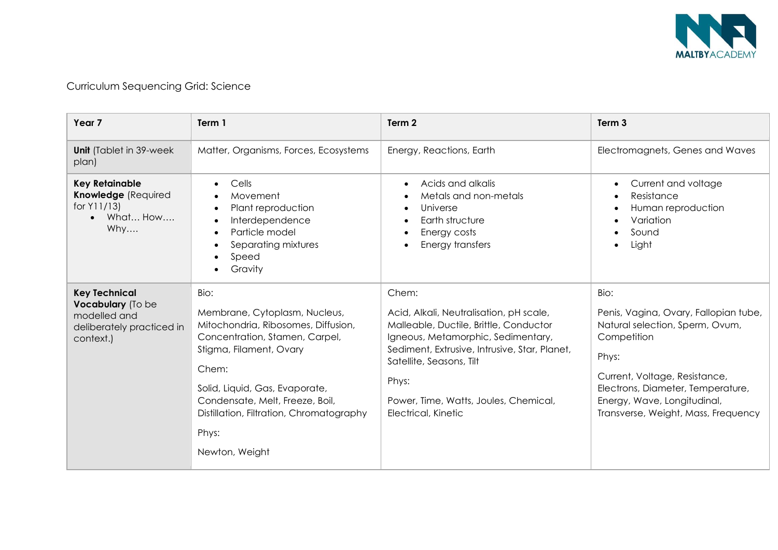

| Year <sub>7</sub>                                                                                   | Term 1                                                                                                                                                                                                                                                                                         | Term <sub>2</sub>                                                                                                                                                                                                                                                                      | Term <sub>3</sub>                                                                                                                                                                                                                                    |
|-----------------------------------------------------------------------------------------------------|------------------------------------------------------------------------------------------------------------------------------------------------------------------------------------------------------------------------------------------------------------------------------------------------|----------------------------------------------------------------------------------------------------------------------------------------------------------------------------------------------------------------------------------------------------------------------------------------|------------------------------------------------------------------------------------------------------------------------------------------------------------------------------------------------------------------------------------------------------|
| <b>Unit</b> (Tablet in 39-week)<br>plan)                                                            | Matter, Organisms, Forces, Ecosystems                                                                                                                                                                                                                                                          | Energy, Reactions, Earth                                                                                                                                                                                                                                                               | Electromagnets, Genes and Waves                                                                                                                                                                                                                      |
| <b>Key Retainable</b><br><b>Knowledge (Required</b><br>for Y11/13)<br>What How<br>Why               | Cells<br>Movement<br>Plant reproduction<br>Interdependence<br>Particle model<br>Separating mixtures<br>Speed<br>Gravity                                                                                                                                                                        | Acids and alkalis<br>Metals and non-metals<br>Universe<br>Earth structure<br>Energy costs<br>Energy transfers                                                                                                                                                                          | Current and voltage<br>$\bullet$<br>Resistance<br>$\bullet$<br>Human reproduction<br>٠<br>Variation<br>$\bullet$<br>Sound<br>Light                                                                                                                   |
| <b>Key Technical</b><br>Vocabulary (To be<br>modelled and<br>deliberately practiced in<br>context.) | Bio:<br>Membrane, Cytoplasm, Nucleus,<br>Mitochondria, Ribosomes, Diffusion,<br>Concentration, Stamen, Carpel,<br>Stigma, Filament, Ovary<br>Chem:<br>Solid, Liquid, Gas, Evaporate,<br>Condensate, Melt, Freeze, Boil,<br>Distillation, Filtration, Chromatography<br>Phys:<br>Newton, Weight | Chem:<br>Acid, Alkali, Neutralisation, pH scale,<br>Malleable, Ductile, Brittle, Conductor<br>Igneous, Metamorphic, Sedimentary,<br>Sediment, Extrusive, Intrusive, Star, Planet,<br>Satellite, Seasons, Tilt<br>Phys:<br>Power, Time, Watts, Joules, Chemical,<br>Electrical, Kinetic | Bio:<br>Penis, Vagina, Ovary, Fallopian tube,<br>Natural selection, Sperm, Ovum,<br>Competition<br>Phys:<br>Current, Voltage, Resistance,<br>Electrons, Diameter, Temperature,<br>Energy, Wave, Longitudinal,<br>Transverse, Weight, Mass, Frequency |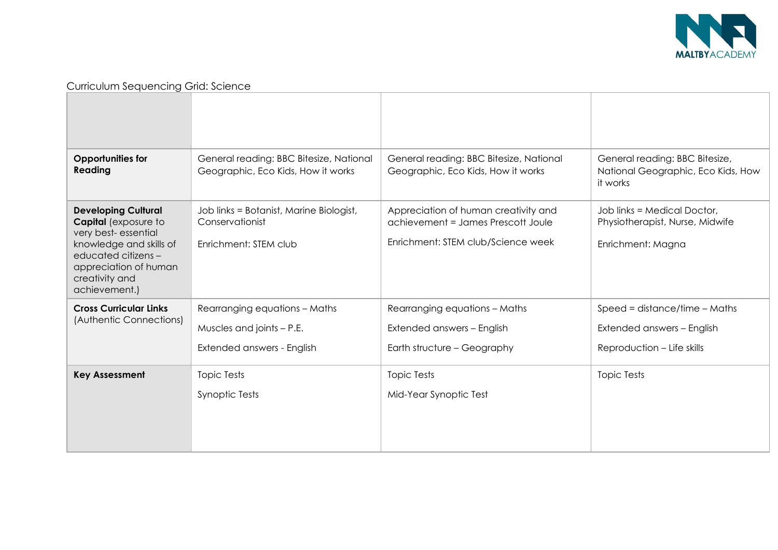

| <b>Opportunities for</b><br>Reading                                                                                                                                                            | General reading: BBC Bitesize, National<br>Geographic, Eco Kids, How it works              | General reading: BBC Bitesize, National<br>Geographic, Eco Kids, How it works                                    | General reading: BBC Bitesize,<br>National Geographic, Eco Kids, How<br>it works            |
|------------------------------------------------------------------------------------------------------------------------------------------------------------------------------------------------|--------------------------------------------------------------------------------------------|------------------------------------------------------------------------------------------------------------------|---------------------------------------------------------------------------------------------|
| <b>Developing Cultural</b><br><b>Capital</b> (exposure to<br>very best-essential<br>knowledge and skills of<br>educated citizens -<br>appreciation of human<br>creativity and<br>achievement.) | Job links = Botanist, Marine Biologist,<br>Conservationist<br>Enrichment: STEM club        | Appreciation of human creativity and<br>achievement = James Prescott Joule<br>Enrichment: STEM club/Science week | Job links = Medical Doctor,<br>Physiotherapist, Nurse, Midwife<br>Enrichment: Magna         |
| <b>Cross Curricular Links</b><br>(Authentic Connections)                                                                                                                                       | Rearranging equations - Maths<br>Muscles and joints $- P.E.$<br>Extended answers - English | Rearranging equations - Maths<br>Extended answers - English<br>Earth structure - Geography                       | Speed = distance/time $-$ Maths<br>Extended answers - English<br>Reproduction - Life skills |
| <b>Key Assessment</b>                                                                                                                                                                          | <b>Topic Tests</b><br><b>Synoptic Tests</b>                                                | <b>Topic Tests</b><br>Mid-Year Synoptic Test                                                                     | <b>Topic Tests</b>                                                                          |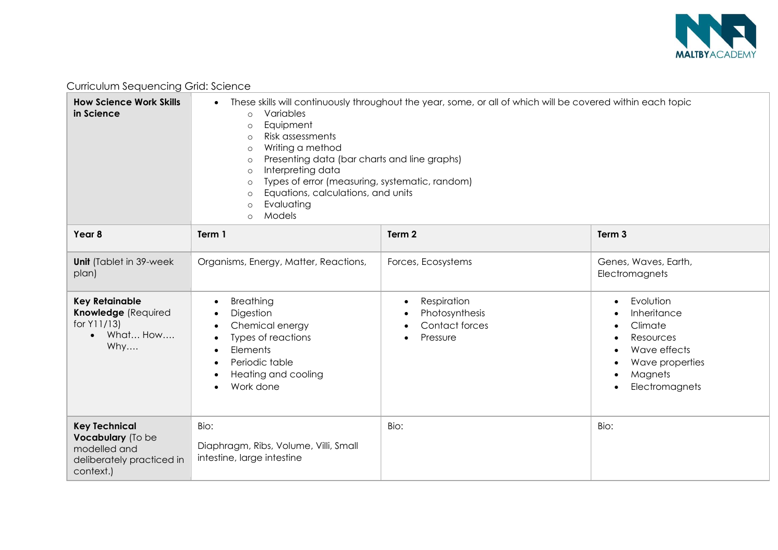

| <b>How Science Work Skills</b><br>in Science                                                        | These skills will continuously throughout the year, some, or all of which will be covered within each topic<br>$\bullet$<br>Variables<br>$\circ$<br>Equipment<br>$\circ$<br>Risk assessments<br>$\circ$<br>Writing a method<br>$\circ$<br>Presenting data (bar charts and line graphs)<br>$\circ$<br>Interpreting data<br>$\circ$<br>Types of error (measuring, systematic, random)<br>$\circ$<br>Equations, calculations, and units<br>$\circ$<br>Evaluating<br>$\circ$<br>Models<br>$\circ$ |                                                                  |                                                                                                                               |
|-----------------------------------------------------------------------------------------------------|-----------------------------------------------------------------------------------------------------------------------------------------------------------------------------------------------------------------------------------------------------------------------------------------------------------------------------------------------------------------------------------------------------------------------------------------------------------------------------------------------|------------------------------------------------------------------|-------------------------------------------------------------------------------------------------------------------------------|
| Year 8                                                                                              | Term 1                                                                                                                                                                                                                                                                                                                                                                                                                                                                                        | Term 2                                                           | Term <sub>3</sub>                                                                                                             |
| Unit (Tablet in 39-week<br>plan)                                                                    | Organisms, Energy, Matter, Reactions,                                                                                                                                                                                                                                                                                                                                                                                                                                                         | Forces, Ecosystems                                               | Genes, Waves, Earth,<br>Electromagnets                                                                                        |
| <b>Key Retainable</b><br>Knowledge (Required<br>for Y11/13)<br>What How<br>Why                      | Breathing<br>$\bullet$<br>Digestion<br>Chemical energy<br>Types of reactions<br>Elements<br>Periodic table<br>Heating and cooling<br>Work done                                                                                                                                                                                                                                                                                                                                                | Respiration<br>٠<br>Photosynthesis<br>Contact forces<br>Pressure | Evolution<br>Inheritance<br>Climate<br>Resources<br>Wave effects<br>Wave properties<br>Magnets<br>$\bullet$<br>Electromagnets |
| <b>Key Technical</b><br>Vocabulary (To be<br>modelled and<br>deliberately practiced in<br>context.) | Bio:<br>Diaphragm, Ribs, Volume, Villi, Small<br>intestine, large intestine                                                                                                                                                                                                                                                                                                                                                                                                                   | Bio:                                                             | Bio:                                                                                                                          |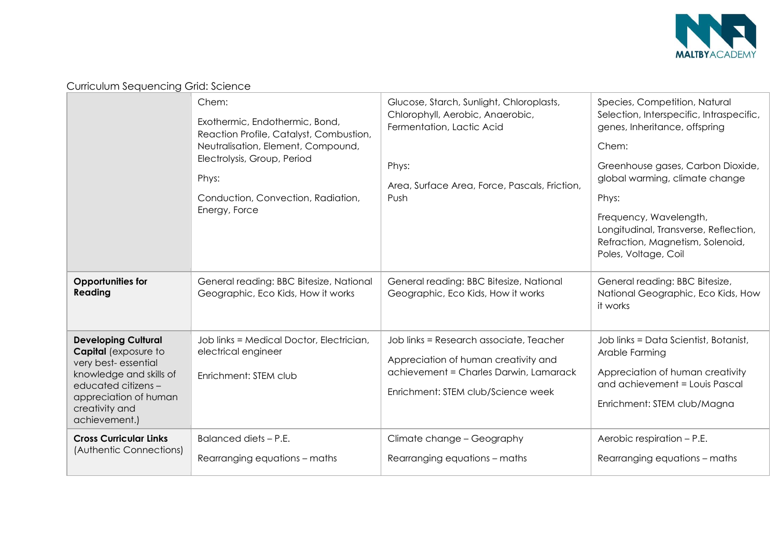

| Curriculum Sequencing Grid: Science |  |
|-------------------------------------|--|
|-------------------------------------|--|

|                                                                                                                                                                                         | Chem:<br>Exothermic, Endothermic, Bond,<br>Reaction Profile, Catalyst, Combustion,<br>Neutralisation, Element, Compound,<br>Electrolysis, Group, Period<br>Phys:<br>Conduction, Convection, Radiation,<br>Energy, Force | Glucose, Starch, Sunlight, Chloroplasts,<br>Chlorophyll, Aerobic, Anaerobic,<br>Fermentation, Lactic Acid<br>Phys:<br>Area, Surface Area, Force, Pascals, Friction,<br>Push | Species, Competition, Natural<br>Selection, Interspecific, Intraspecific,<br>genes, Inheritance, offspring<br>Chem:<br>Greenhouse gases, Carbon Dioxide,<br>global warming, climate change<br>Phys:<br>Frequency, Wavelength,<br>Longitudinal, Transverse, Reflection,<br>Refraction, Magnetism, Solenoid,<br>Poles, Voltage, Coil |
|-----------------------------------------------------------------------------------------------------------------------------------------------------------------------------------------|-------------------------------------------------------------------------------------------------------------------------------------------------------------------------------------------------------------------------|-----------------------------------------------------------------------------------------------------------------------------------------------------------------------------|------------------------------------------------------------------------------------------------------------------------------------------------------------------------------------------------------------------------------------------------------------------------------------------------------------------------------------|
| <b>Opportunities for</b><br>Reading                                                                                                                                                     | General reading: BBC Bitesize, National<br>Geographic, Eco Kids, How it works                                                                                                                                           | General reading: BBC Bitesize, National<br>Geographic, Eco Kids, How it works                                                                                               | General reading: BBC Bitesize,<br>National Geographic, Eco Kids, How<br>it works                                                                                                                                                                                                                                                   |
| <b>Developing Cultural</b><br>Capital (exposure to<br>very best-essential<br>knowledge and skills of<br>educated citizens -<br>appreciation of human<br>creativity and<br>achievement.) | Job links = Medical Doctor, Electrician,<br>electrical engineer<br>Enrichment: STEM club                                                                                                                                | Job links = Research associate, Teacher<br>Appreciation of human creativity and<br>achievement = Charles Darwin, Lamarack<br>Enrichment: STEM club/Science week             | Job links = Data Scientist, Botanist,<br>Arable Farming<br>Appreciation of human creativity<br>and achievement = Louis Pascal<br>Enrichment: STEM club/Magna                                                                                                                                                                       |
| <b>Cross Curricular Links</b><br>(Authentic Connections)                                                                                                                                | Balanced diets - P.E.<br>Rearranging equations - maths                                                                                                                                                                  | Climate change - Geography<br>Rearranging equations - maths                                                                                                                 | Aerobic respiration - P.E.<br>Rearranging equations - maths                                                                                                                                                                                                                                                                        |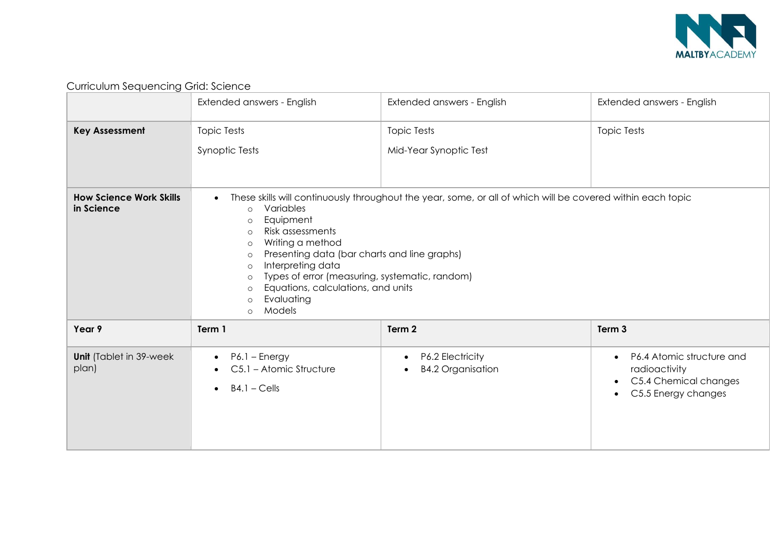

|                                              | Extended answers - English                                                                                                                                                                                                                                                                                                                                                     | Extended answers - English                                                                                  | Extended answers - English                                                                                                        |
|----------------------------------------------|--------------------------------------------------------------------------------------------------------------------------------------------------------------------------------------------------------------------------------------------------------------------------------------------------------------------------------------------------------------------------------|-------------------------------------------------------------------------------------------------------------|-----------------------------------------------------------------------------------------------------------------------------------|
| <b>Key Assessment</b>                        | <b>Topic Tests</b><br>Synoptic Tests                                                                                                                                                                                                                                                                                                                                           | <b>Topic Tests</b><br>Mid-Year Synoptic Test                                                                | <b>Topic Tests</b>                                                                                                                |
| <b>How Science Work Skills</b><br>in Science | $\bullet$<br>Variables<br>$\circ$<br>Equipment<br>$\circ$<br>Risk assessments<br>$\circ$<br>Writing a method<br>$\circ$<br>Presenting data (bar charts and line graphs)<br>$\circ$<br>Interpreting data<br>$\circ$<br>Types of error (measuring, systematic, random)<br>$\circ$<br>Equations, calculations, and units<br>$\circ$<br>Evaluating<br>$\circ$<br>Models<br>$\circ$ | These skills will continuously throughout the year, some, or all of which will be covered within each topic |                                                                                                                                   |
| Year 9                                       | Term 1                                                                                                                                                                                                                                                                                                                                                                         | Term 2                                                                                                      | Term 3                                                                                                                            |
| <b>Unit</b> (Tablet in 39-week<br>plan)      | P6.1 - Energy<br>$\bullet$<br>C5.1 - Atomic Structure<br>$B4.1 - Cells$<br>$\bullet$                                                                                                                                                                                                                                                                                           | P6.2 Electricity<br>$\bullet$<br><b>B4.2 Organisation</b>                                                   | P6.4 Atomic structure and<br>$\bullet$<br>radioactivity<br>C5.4 Chemical changes<br>$\bullet$<br>C5.5 Energy changes<br>$\bullet$ |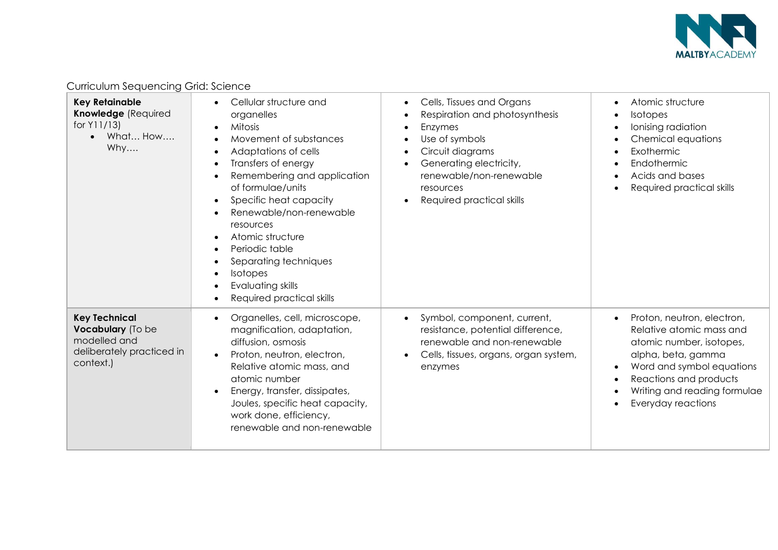

| <b>Key Retainable</b><br>Knowledge (Required<br>for Y11/13)<br>What How<br>$\bullet$<br>Why         | Cellular structure and<br>organelles<br>Mitosis<br>Movement of substances<br>Adaptations of cells<br>Transfers of energy<br>Remembering and application<br>of formulae/units<br>Specific heat capacity<br>Renewable/non-renewable<br>resources<br>Atomic structure<br>Periodic table<br>Separating techniques<br>Isotopes<br>Evaluating skills<br>Required practical skills | Cells, Tissues and Organs<br>Respiration and photosynthesis<br>Enzymes<br>Use of symbols<br>Circuit diagrams<br>Generating electricity,<br>renewable/non-renewable<br>resources<br>Required practical skills | Atomic structure<br><b>Isotopes</b><br>Ionising radiation<br>Chemical equations<br>Exothermic<br>Endothermic<br>Acids and bases<br>Required practical skills                                                          |
|-----------------------------------------------------------------------------------------------------|-----------------------------------------------------------------------------------------------------------------------------------------------------------------------------------------------------------------------------------------------------------------------------------------------------------------------------------------------------------------------------|--------------------------------------------------------------------------------------------------------------------------------------------------------------------------------------------------------------|-----------------------------------------------------------------------------------------------------------------------------------------------------------------------------------------------------------------------|
| <b>Key Technical</b><br>Vocabulary (To be<br>modelled and<br>deliberately practiced in<br>context.) | Organelles, cell, microscope,<br>magnification, adaptation,<br>diffusion, osmosis<br>Proton, neutron, electron,<br>Relative atomic mass, and<br>atomic number<br>Energy, transfer, dissipates,<br>Joules, specific heat capacity,<br>work done, efficiency,<br>renewable and non-renewable                                                                                  | Symbol, component, current,<br>resistance, potential difference,<br>renewable and non-renewable<br>Cells, tissues, organs, organ system,<br>enzymes                                                          | Proton, neutron, electron,<br>Relative atomic mass and<br>atomic number, isotopes,<br>alpha, beta, gamma<br>Word and symbol equations<br>Reactions and products<br>Writing and reading formulae<br>Everyday reactions |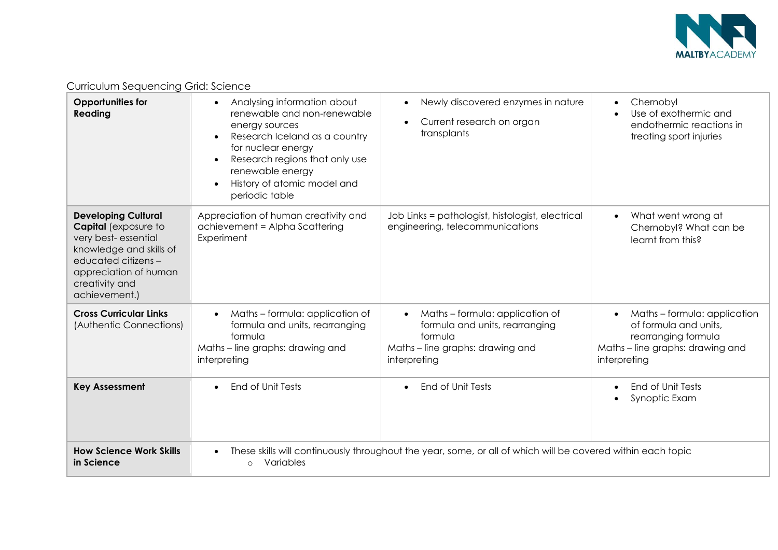

| sonicolorii oogoonicii ig Ona. ocionico                                                                                                                                                 |                                                                                                                                                                                                                                            |                                                                                                                                               |                                                                                                                                               |
|-----------------------------------------------------------------------------------------------------------------------------------------------------------------------------------------|--------------------------------------------------------------------------------------------------------------------------------------------------------------------------------------------------------------------------------------------|-----------------------------------------------------------------------------------------------------------------------------------------------|-----------------------------------------------------------------------------------------------------------------------------------------------|
| <b>Opportunities for</b><br>Reading                                                                                                                                                     | Analysing information about<br>renewable and non-renewable<br>energy sources<br>Research Iceland as a country<br>for nuclear energy<br>Research regions that only use<br>renewable energy<br>History of atomic model and<br>periodic table | Newly discovered enzymes in nature<br>$\bullet$<br>Current research on organ<br>transplants                                                   | Chernobyl<br>$\bullet$<br>Use of exothermic and<br>endothermic reactions in<br>treating sport injuries                                        |
| <b>Developing Cultural</b><br>Capital (exposure to<br>very best-essential<br>knowledge and skills of<br>educated citizens -<br>appreciation of human<br>creativity and<br>achievement.) | Appreciation of human creativity and<br>achievement = Alpha Scattering<br>Experiment                                                                                                                                                       | Job Links = pathologist, histologist, electrical<br>engineering, telecommunications                                                           | What went wrong at<br>$\bullet$<br>Chernobyl? What can be<br>learnt from this?                                                                |
| <b>Cross Curricular Links</b><br>(Authentic Connections)                                                                                                                                | Maths-formula: application of<br>formula and units, rearranging<br>formula<br>Maths - line graphs: drawing and<br>interpreting                                                                                                             | Maths - formula: application of<br>$\bullet$<br>formula and units, rearranging<br>formula<br>Maths - line graphs: drawing and<br>interpreting | Maths - formula: application<br>$\bullet$<br>of formula and units,<br>rearranging formula<br>Maths – line graphs: drawing and<br>interpreting |
| <b>Key Assessment</b>                                                                                                                                                                   | End of Unit Tests                                                                                                                                                                                                                          | End of Unit Tests                                                                                                                             | End of Unit Tests<br>Synoptic Exam                                                                                                            |
| <b>How Science Work Skills</b><br>in Science                                                                                                                                            | $\bullet$<br>Variables<br>$\circ$                                                                                                                                                                                                          | These skills will continuously throughout the year, some, or all of which will be covered within each topic                                   |                                                                                                                                               |